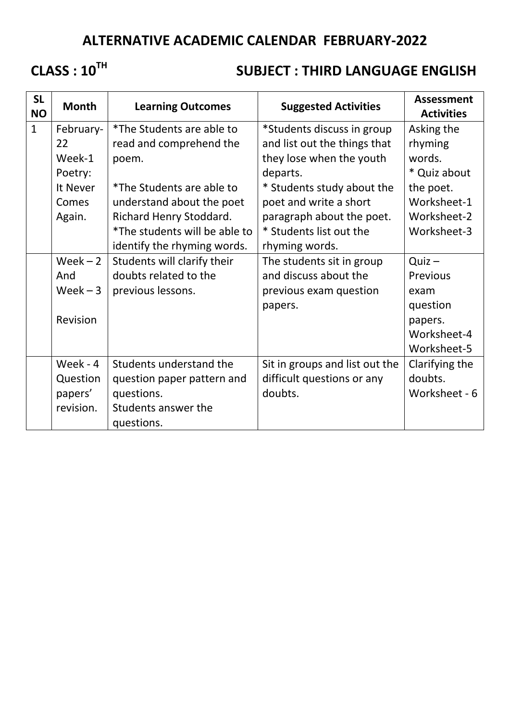## **ALTERNATIVE ACADEMIC CALENDAR FEBRUARY-2022**

# **CLASS : 10TH**

### **SUBJECT : THIRD LANGUAGE ENGLISH**

| <b>SL</b><br><b>NO</b> | <b>Month</b> | <b>Learning Outcomes</b>         | <b>Suggested Activities</b>    | <b>Assessment</b><br><b>Activities</b> |
|------------------------|--------------|----------------------------------|--------------------------------|----------------------------------------|
| $\mathbf{1}$           | February-    | <i>*The Students are able to</i> | *Students discuss in group     | Asking the                             |
|                        | 22           | read and comprehend the          | and list out the things that   | rhyming                                |
|                        | Week-1       | poem.                            | they lose when the youth       | words.                                 |
|                        | Poetry:      |                                  | departs.                       | * Quiz about                           |
|                        | It Never     | *The Students are able to        | * Students study about the     | the poet.                              |
|                        | Comes        | understand about the poet        | poet and write a short         | Worksheet-1                            |
|                        | Again.       | Richard Henry Stoddard.          | paragraph about the poet.      | Worksheet-2                            |
|                        |              | *The students will be able to    | * Students list out the        | Worksheet-3                            |
|                        |              | identify the rhyming words.      | rhyming words.                 |                                        |
|                        | $Week-2$     | Students will clarify their      | The students sit in group      | $Quiz -$                               |
|                        | And          | doubts related to the            | and discuss about the          | Previous                               |
|                        | Week $-3$    | previous lessons.                | previous exam question         | exam                                   |
|                        |              |                                  | papers.                        | question                               |
|                        | Revision     |                                  |                                | papers.                                |
|                        |              |                                  |                                | Worksheet-4                            |
|                        |              |                                  |                                | Worksheet-5                            |
|                        | Week - 4     | Students understand the          | Sit in groups and list out the | Clarifying the                         |
|                        | Question     | question paper pattern and       | difficult questions or any     | doubts.                                |
|                        | papers'      | questions.                       | doubts.                        | Worksheet - 6                          |
|                        | revision.    | Students answer the              |                                |                                        |
|                        |              | questions.                       |                                |                                        |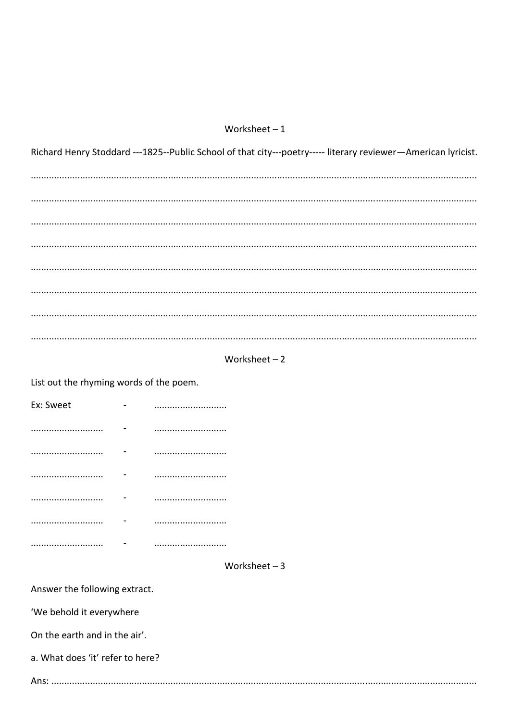### Worksheet $-1$

Richard Henry Stoddard ---1825--Public School of that city---poetry----- literary reviewer-American lyricist. 



List out the rhyming words of the poem.

| Ex: Sweet |  |
|-----------|--|
|           |  |
|           |  |
|           |  |
|           |  |
|           |  |
|           |  |

#### Worksheet  $-3$

Answer the following extract.

'We behold it everywhere

On the earth and in the air'.

a. What does 'it' refer to here?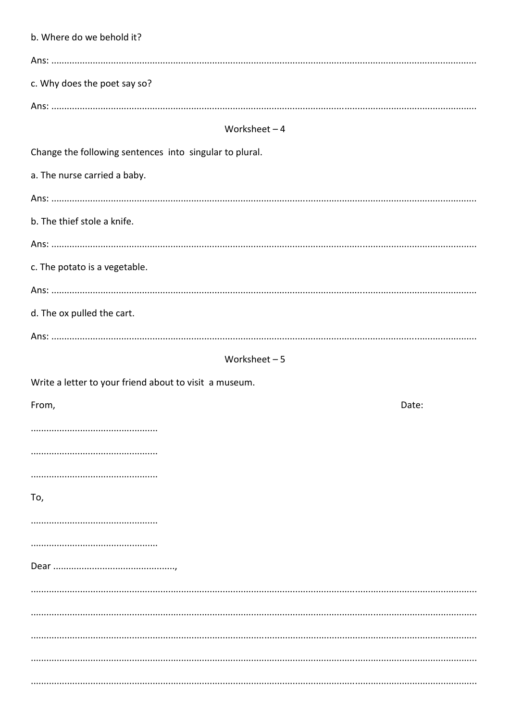| b. Where do we behold it?                               |  |  |  |  |  |  |
|---------------------------------------------------------|--|--|--|--|--|--|
|                                                         |  |  |  |  |  |  |
| c. Why does the poet say so?                            |  |  |  |  |  |  |
|                                                         |  |  |  |  |  |  |
| Worksheet $-4$                                          |  |  |  |  |  |  |
| Change the following sentences into singular to plural. |  |  |  |  |  |  |
| a. The nurse carried a baby.                            |  |  |  |  |  |  |
|                                                         |  |  |  |  |  |  |
| b. The thief stole a knife.                             |  |  |  |  |  |  |
|                                                         |  |  |  |  |  |  |
| c. The potato is a vegetable.                           |  |  |  |  |  |  |
|                                                         |  |  |  |  |  |  |
| d. The ox pulled the cart.                              |  |  |  |  |  |  |
|                                                         |  |  |  |  |  |  |
| Worksheet $-5$                                          |  |  |  |  |  |  |
| Write a letter to your friend about to visit a museum.  |  |  |  |  |  |  |
|                                                         |  |  |  |  |  |  |
| From,<br>Date:                                          |  |  |  |  |  |  |
|                                                         |  |  |  |  |  |  |
|                                                         |  |  |  |  |  |  |
|                                                         |  |  |  |  |  |  |
| To,                                                     |  |  |  |  |  |  |
|                                                         |  |  |  |  |  |  |
|                                                         |  |  |  |  |  |  |
|                                                         |  |  |  |  |  |  |
|                                                         |  |  |  |  |  |  |
|                                                         |  |  |  |  |  |  |
|                                                         |  |  |  |  |  |  |
|                                                         |  |  |  |  |  |  |